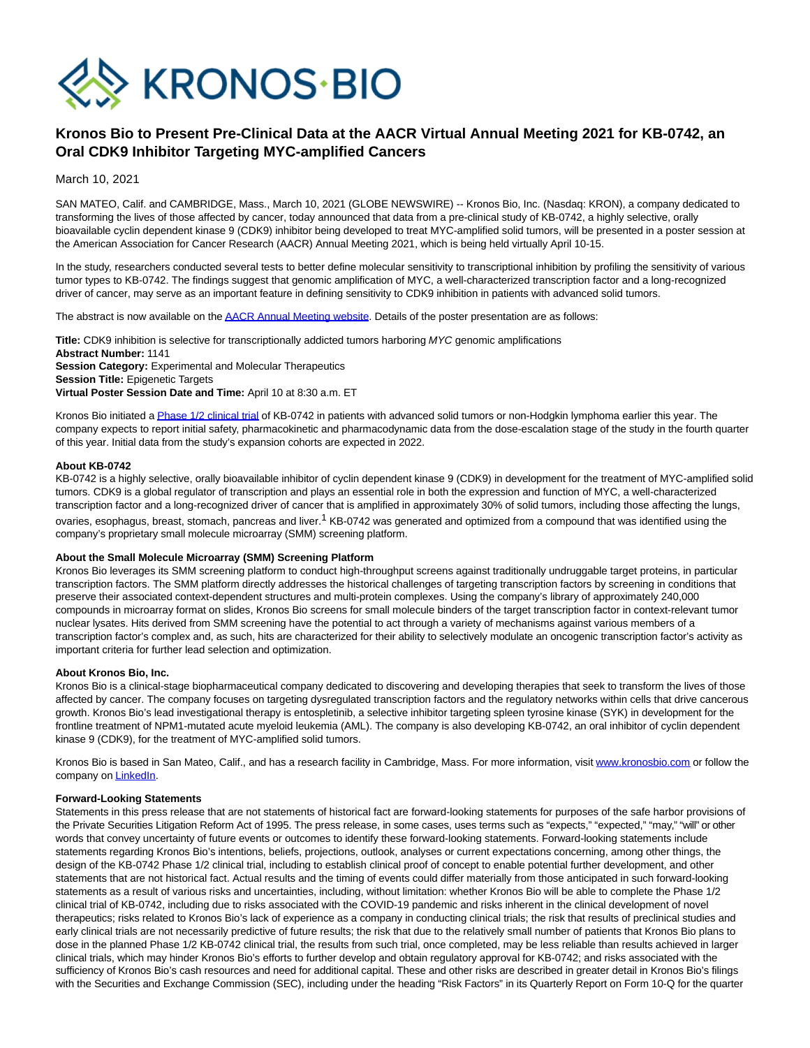

# **Kronos Bio to Present Pre-Clinical Data at the AACR Virtual Annual Meeting 2021 for KB-0742, an Oral CDK9 Inhibitor Targeting MYC-amplified Cancers**

March 10, 2021

SAN MATEO, Calif. and CAMBRIDGE, Mass., March 10, 2021 (GLOBE NEWSWIRE) -- Kronos Bio, Inc. (Nasdaq: KRON), a company dedicated to transforming the lives of those affected by cancer, today announced that data from a pre-clinical study of KB-0742, a highly selective, orally bioavailable cyclin dependent kinase 9 (CDK9) inhibitor being developed to treat MYC-amplified solid tumors, will be presented in a poster session at the American Association for Cancer Research (AACR) Annual Meeting 2021, which is being held virtually April 10-15.

In the study, researchers conducted several tests to better define molecular sensitivity to transcriptional inhibition by profiling the sensitivity of various tumor types to KB-0742. The findings suggest that genomic amplification of MYC, a well-characterized transcription factor and a long-recognized driver of cancer, may serve as an important feature in defining sensitivity to CDK9 inhibition in patients with advanced solid tumors.

The abstract is now available on th[e AACR Annual Meeting website.](https://www.globenewswire.com/Tracker?data=qJY1srFsmEs8QR4MEMZaKbKe4mIsHtsDrAz8QsYbRiHTlPddd7XPdUvdmB_77cw4JoirmR56YwnVgfaIyJvCraxc_qeDYDqn5KGJxKOxkPjecMiJyVsCNIVKyhiK0hqxA5B3dSeo235i3Wck-PJuLg==) Details of the poster presentation are as follows:

**Title:** CDK9 inhibition is selective for transcriptionally addicted tumors harboring MYC genomic amplifications **Abstract Number:** 1141 **Session Category:** Experimental and Molecular Therapeutics **Session Title:** Epigenetic Targets **Virtual Poster Session Date and Time:** April 10 at 8:30 a.m. ET

Kronos Bio initiated a [Phase 1/2 clinical trial o](https://www.globenewswire.com/Tracker?data=_Nqrzdt-tJt5Ce_AcqGr-NMeFoBFWK86pi6iAVXeIhHgLXn_YRXmibRd7J828BppSLb2v71YFNVkASmlqfbH3csigmvhb4elSDAoygpVRXSmmL9uVFb8_l1ZkSiPttt9VL-G-987ZYDY9nULj0saoP-vCcn2vK67qdD69v_0c6fyOc2q0rlmJrJGdDczDQ8JRAxytWErgefq6fHYzSj8xu_8gY_aogUgRdLARv9zJMc=)f KB-0742 in patients with advanced solid tumors or non-Hodgkin lymphoma earlier this year. The company expects to report initial safety, pharmacokinetic and pharmacodynamic data from the dose-escalation stage of the study in the fourth quarter of this year. Initial data from the study's expansion cohorts are expected in 2022.

## **About KB-0742**

KB-0742 is a highly selective, orally bioavailable inhibitor of cyclin dependent kinase 9 (CDK9) in development for the treatment of MYC-amplified solid tumors. CDK9 is a global regulator of transcription and plays an essential role in both the expression and function of MYC, a well-characterized transcription factor and a long-recognized driver of cancer that is amplified in approximately 30% of solid tumors, including those affecting the lungs, ovaries, esophagus, breast, stomach, pancreas and liver.<sup>1</sup> KB-0742 was generated and optimized from a compound that was identified using the company's proprietary small molecule microarray (SMM) screening platform.

# **About the Small Molecule Microarray (SMM) Screening Platform**

Kronos Bio leverages its SMM screening platform to conduct high-throughput screens against traditionally undruggable target proteins, in particular transcription factors. The SMM platform directly addresses the historical challenges of targeting transcription factors by screening in conditions that preserve their associated context-dependent structures and multi-protein complexes. Using the company's library of approximately 240,000 compounds in microarray format on slides, Kronos Bio screens for small molecule binders of the target transcription factor in context-relevant tumor nuclear lysates. Hits derived from SMM screening have the potential to act through a variety of mechanisms against various members of a transcription factor's complex and, as such, hits are characterized for their ability to selectively modulate an oncogenic transcription factor's activity as important criteria for further lead selection and optimization.

# **About Kronos Bio, Inc.**

Kronos Bio is a clinical-stage biopharmaceutical company dedicated to discovering and developing therapies that seek to transform the lives of those affected by cancer. The company focuses on targeting dysregulated transcription factors and the regulatory networks within cells that drive cancerous growth. Kronos Bio's lead investigational therapy is entospletinib, a selective inhibitor targeting spleen tyrosine kinase (SYK) in development for the frontline treatment of NPM1-mutated acute myeloid leukemia (AML). The company is also developing KB-0742, an oral inhibitor of cyclin dependent kinase 9 (CDK9), for the treatment of MYC-amplified solid tumors.

Kronos Bio is based in San Mateo, Calif., and has a research facility in Cambridge, Mass. For more information, visit [www.kronosbio.com o](https://www.globenewswire.com/Tracker?data=ukwRhj6ewjofdPQDallzFYplP107yF5wOiU2wvFHQqr7xB759OeUtd1ZYzlUsV-BJWjcOVYtFXIMiadGvgCFtQ==)r follow the company o[n LinkedIn.](https://www.globenewswire.com/Tracker?data=uGOjv-dfVVh5MnGJ_7GSLKmAGjhf5xQkUFzHTdvernx8ey2PiIs7mOb1pVJG7FrMrwC4GA1I0YFtXciVDiPPWiO2lPxpXJ2KKS3Pl-sMbJI=)

#### **Forward-Looking Statements**

Statements in this press release that are not statements of historical fact are forward-looking statements for purposes of the safe harbor provisions of the Private Securities Litigation Reform Act of 1995. The press release, in some cases, uses terms such as "expects," "expected," "may," "will" or other words that convey uncertainty of future events or outcomes to identify these forward-looking statements. Forward-looking statements include statements regarding Kronos Bio's intentions, beliefs, projections, outlook, analyses or current expectations concerning, among other things, the design of the KB-0742 Phase 1/2 clinical trial, including to establish clinical proof of concept to enable potential further development, and other statements that are not historical fact. Actual results and the timing of events could differ materially from those anticipated in such forward-looking statements as a result of various risks and uncertainties, including, without limitation: whether Kronos Bio will be able to complete the Phase 1/2 clinical trial of KB-0742, including due to risks associated with the COVID-19 pandemic and risks inherent in the clinical development of novel therapeutics; risks related to Kronos Bio's lack of experience as a company in conducting clinical trials; the risk that results of preclinical studies and early clinical trials are not necessarily predictive of future results; the risk that due to the relatively small number of patients that Kronos Bio plans to dose in the planned Phase 1/2 KB-0742 clinical trial, the results from such trial, once completed, may be less reliable than results achieved in larger clinical trials, which may hinder Kronos Bio's efforts to further develop and obtain regulatory approval for KB-0742; and risks associated with the sufficiency of Kronos Bio's cash resources and need for additional capital. These and other risks are described in greater detail in Kronos Bio's filings with the Securities and Exchange Commission (SEC), including under the heading "Risk Factors" in its Quarterly Report on Form 10-Q for the quarter